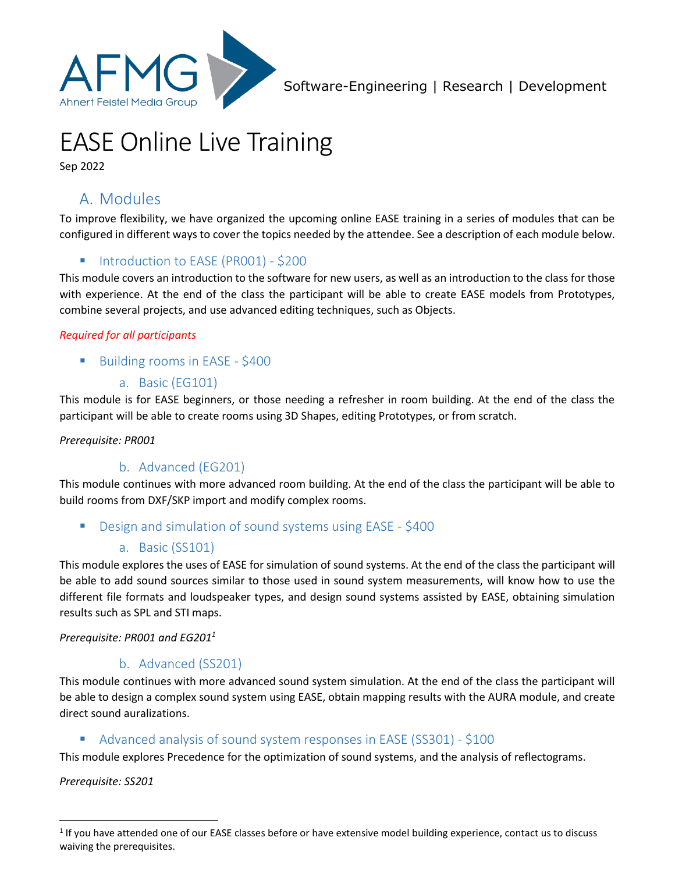

# EASE Online Live Training

Sep 2022

# A. Modules

To improve flexibility, we have organized the upcoming online EASE training in a series of modules that can be configured in different ways to cover the topics needed by the attendee. See a description of each module below.

# Introduction to EASE (PR001) - \$200

This module covers an introduction to the software for new users, as well as an introduction to the class for those with experience. At the end of the class the participant will be able to create EASE models from Prototypes, combine several projects, and use advanced editing techniques, such as Objects.

#### *Required for all participants*

- Building rooms in EASE \$400
	- a. Basic (EG101)

This module is for EASE beginners, or those needing a refresher in room building. At the end of the class the participant will be able to create rooms using 3D Shapes, editing Prototypes, or from scratch.

#### *Prerequisite: PR001*

## b. Advanced (EG201)

This module continues with more advanced room building. At the end of the class the participant will be able to build rooms from DXF/SKP import and modify complex rooms.

Design and simulation of sound systems using EASE - \$400

## a. Basic (SS101)

This module explores the uses of EASE for simulation of sound systems. At the end of the class the participant will be able to add sound sources similar to those used in sound system measurements, will know how to use the different file formats and loudspeaker types, and design sound systems assisted by EASE, obtaining simulation results such as SPL and STI maps.

*Prerequisite: PR001 and EG201<sup>1</sup>*

## b. Advanced (SS201)

This module continues with more advanced sound system simulation. At the end of the class the participant will be able to design a complex sound system using EASE, obtain mapping results with the AURA module, and create direct sound auralizations.

## Advanced analysis of sound system responses in EASE (SS301) - \$100

This module explores Precedence for the optimization of sound systems, and the analysis of reflectograms.

*Prerequisite: SS201*

l

 $1$  If you have attended one of our EASE classes before or have extensive model building experience, contact us to discuss waiving the prerequisites.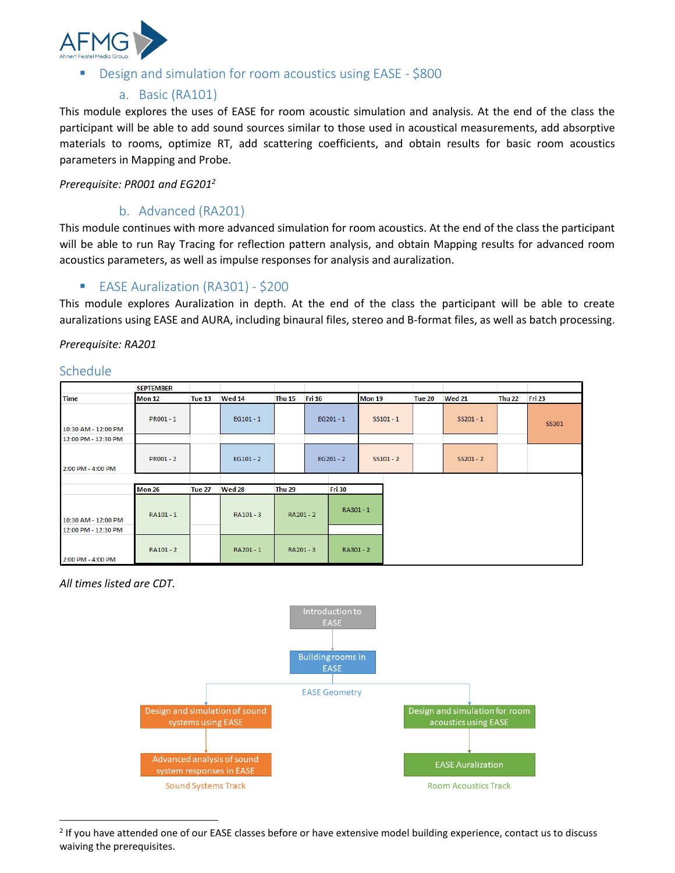

#### Design and simulation for room acoustics using EASE - \$800

#### a. Basic (RA101)

This module explores the uses of EASE for room acoustic simulation and analysis. At the end of the class the participant will be able to add sound sources similar to those used in acoustical measurements, add absorptive materials to rooms, optimize RT, add scattering coefficients, and obtain results for basic room acoustics parameters in Mapping and Probe.

*Prerequisite: PR001 and EG201<sup>2</sup>*

#### b. Advanced (RA201)

This module continues with more advanced simulation for room acoustics. At the end of the class the participant will be able to run Ray Tracing for reflection pattern analysis, and obtain Mapping results for advanced room acoustics parameters, as well as impulse responses for analysis and auralization.

#### ■ EASE Auralization (RA301) - \$200

This module explores Auralization in depth. At the end of the class the participant will be able to create auralizations using EASE and AURA, including binaural files, stereo and B-format files, as well as batch processing.

*Prerequisite: RA201*

#### Schedule

|                                            | <b>SEPTEMBER</b> |               |               |               |               |             |               |             |               |               |               |        |
|--------------------------------------------|------------------|---------------|---------------|---------------|---------------|-------------|---------------|-------------|---------------|---------------|---------------|--------|
| <b>Time</b>                                | <b>Mon 12</b>    | <b>Tue 13</b> | Wed 14        | <b>Thu 15</b> | <b>Fri 16</b> |             | <b>Mon 19</b> |             | <b>Tue 20</b> | <b>Wed 21</b> | <b>Thu 22</b> | Fri 23 |
| 10:30 AM - 12:00 PM                        | PR001-1          |               | $EG101 - 1$   |               |               | $EG201 - 1$ |               | $SS101 - 1$ |               | $SS201 - 1$   |               | SS301  |
| 12:00 PM - 12:30 PM                        |                  |               |               |               |               |             |               |             |               |               |               |        |
| 2:00 PM - 4:00 PM                          | PR001 - 2        |               | $EG101 - 2$   |               |               | $EG201 - 2$ |               | $SS101 - 2$ |               | $SS201 - 2$   |               |        |
|                                            |                  |               |               |               |               |             |               |             |               |               |               |        |
|                                            | <b>Mon 26</b>    | Tue 27        | <b>Wed 28</b> | <b>Thu 29</b> | <b>Fri 30</b> |             |               |             |               |               |               |        |
| 10:30 AM - 12:00 PM<br>12:00 PM - 12:30 PM | RA101 - 1        |               | RA101 - 3     | RA201 - 2     |               | RA301-1     |               |             |               |               |               |        |
| 2:00 PM - 4:00 PM                          | RA101 - 2        |               | RA201-1       | RA201 - 3     |               | RA301 - 2   |               |             |               |               |               |        |

*All times listed are CDT.* 

l



 $2$  If you have attended one of our EASE classes before or have extensive model building experience, contact us to discuss waiving the prerequisites.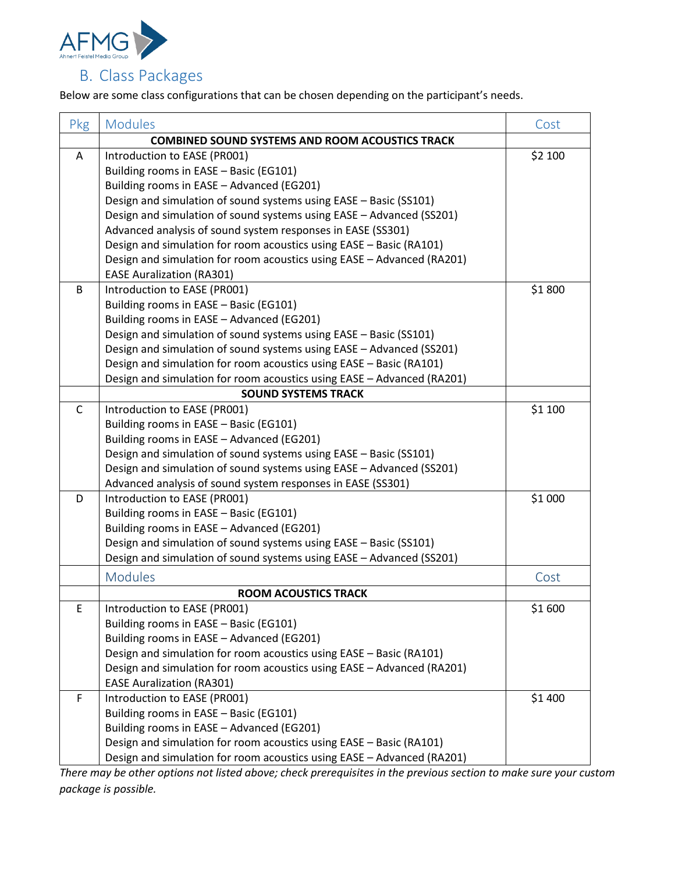

Below are some class configurations that can be chosen depending on the participant's needs.

| Pkg | <b>Modules</b>                                                         | Cost    |  |  |  |  |
|-----|------------------------------------------------------------------------|---------|--|--|--|--|
|     | <b>COMBINED SOUND SYSTEMS AND ROOM ACOUSTICS TRACK</b>                 |         |  |  |  |  |
| A   | Introduction to EASE (PR001)                                           | \$2 100 |  |  |  |  |
|     | Building rooms in EASE - Basic (EG101)                                 |         |  |  |  |  |
|     | Building rooms in EASE - Advanced (EG201)                              |         |  |  |  |  |
|     | Design and simulation of sound systems using EASE - Basic (SS101)      |         |  |  |  |  |
|     | Design and simulation of sound systems using EASE - Advanced (SS201)   |         |  |  |  |  |
|     | Advanced analysis of sound system responses in EASE (SS301)            |         |  |  |  |  |
|     | Design and simulation for room acoustics using EASE - Basic (RA101)    |         |  |  |  |  |
|     | Design and simulation for room acoustics using EASE - Advanced (RA201) |         |  |  |  |  |
|     | <b>EASE Auralization (RA301)</b>                                       |         |  |  |  |  |
| B   | Introduction to EASE (PR001)                                           | \$1800  |  |  |  |  |
|     | Building rooms in EASE - Basic (EG101)                                 |         |  |  |  |  |
|     | Building rooms in EASE - Advanced (EG201)                              |         |  |  |  |  |
|     | Design and simulation of sound systems using EASE - Basic (SS101)      |         |  |  |  |  |
|     | Design and simulation of sound systems using EASE - Advanced (SS201)   |         |  |  |  |  |
|     | Design and simulation for room acoustics using EASE - Basic (RA101)    |         |  |  |  |  |
|     | Design and simulation for room acoustics using EASE - Advanced (RA201) |         |  |  |  |  |
|     | <b>SOUND SYSTEMS TRACK</b>                                             |         |  |  |  |  |
| C   | Introduction to EASE (PR001)                                           | \$1 100 |  |  |  |  |
|     | Building rooms in EASE - Basic (EG101)                                 |         |  |  |  |  |
|     | Building rooms in EASE - Advanced (EG201)                              |         |  |  |  |  |
|     | Design and simulation of sound systems using EASE - Basic (SS101)      |         |  |  |  |  |
|     | Design and simulation of sound systems using EASE - Advanced (SS201)   |         |  |  |  |  |
|     | Advanced analysis of sound system responses in EASE (SS301)            |         |  |  |  |  |
| D   | Introduction to EASE (PR001)                                           | \$1 000 |  |  |  |  |
|     | Building rooms in EASE - Basic (EG101)                                 |         |  |  |  |  |
|     | Building rooms in EASE - Advanced (EG201)                              |         |  |  |  |  |
|     | Design and simulation of sound systems using EASE - Basic (SS101)      |         |  |  |  |  |
|     | Design and simulation of sound systems using EASE - Advanced (SS201)   |         |  |  |  |  |
|     | <b>Modules</b>                                                         | Cost    |  |  |  |  |
|     | <b>ROOM ACOUSTICS TRACK</b>                                            |         |  |  |  |  |
| Þ.  | Introduction to EASE (PR001)                                           | \$1 600 |  |  |  |  |
|     | Building rooms in EASE - Basic (EG101)                                 |         |  |  |  |  |
|     | Building rooms in EASE - Advanced (EG201)                              |         |  |  |  |  |
|     | Design and simulation for room acoustics using EASE - Basic (RA101)    |         |  |  |  |  |
|     | Design and simulation for room acoustics using EASE - Advanced (RA201) |         |  |  |  |  |
|     | <b>EASE Auralization (RA301)</b>                                       |         |  |  |  |  |
| F   | Introduction to EASE (PR001)                                           | \$1 400 |  |  |  |  |
|     | Building rooms in EASE - Basic (EG101)                                 |         |  |  |  |  |
|     | Building rooms in EASE - Advanced (EG201)                              |         |  |  |  |  |
|     | Design and simulation for room acoustics using EASE - Basic (RA101)    |         |  |  |  |  |
|     | Design and simulation for room acoustics using EASE - Advanced (RA201) |         |  |  |  |  |

*There may be other options not listed above; check prerequisites in the previous section to make sure your custom package is possible.*